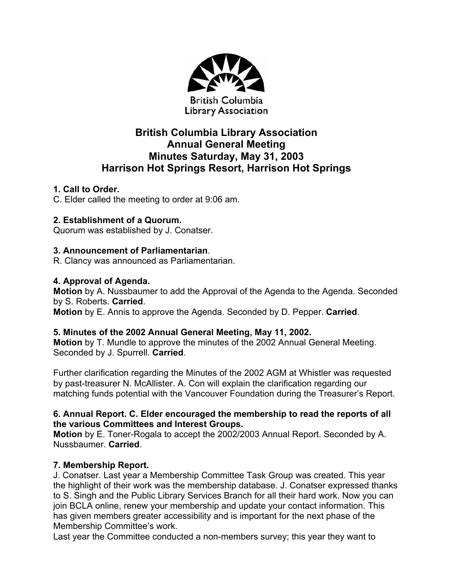

# **British Columbia Library Association Annual General Meeting Minutes Saturday, May 31, 2003 Harrison Hot Springs Resort, Harrison Hot Springs**

## **1. Call to Order.**

C. Elder called the meeting to order at 9:06 am.

## **2. Establishment of a Quorum.**

Quorum was established by J. Conatser.

## **3. Announcement of Parliamentarian**.

R. Clancy was announced as Parliamentarian.

## **4. Approval of Agenda.**

**Motion** by A. Nussbaumer to add the Approval of the Agenda to the Agenda. Seconded by S. Roberts. **Carried**.

**Motion** by E. Annis to approve the Agenda. Seconded by D. Pepper. **Carried**.

## **5. Minutes of the 2002 Annual General Meeting, May 11, 2002.**

**Motion** by T. Mundle to approve the minutes of the 2002 Annual General Meeting. Seconded by J. Spurrell. **Carried**.

Further clarification regarding the Minutes of the 2002 AGM at Whistler was requested by past-treasurer N. McAllister. A. Con will explain the clarification regarding our matching funds potential with the Vancouver Foundation during the Treasurer's Report.

#### **6. Annual Report. C. Elder encouraged the membership to read the reports of all the various Committees and Interest Groups.**

**Motion** by E. Toner-Rogala to accept the 2002/2003 Annual Report. Seconded by A. Nussbaumer. **Carried**.

## **7. Membership Report.**

J. Conatser. Last year a Membership Committee Task Group was created. This year the highlight of their work was the membership database. J. Conatser expressed thanks to S. Singh and the Public Library Services Branch for all their hard work. Now you can join BCLA online, renew your membership and update your contact information. This has given members greater accessibility and is important for the next phase of the Membership Committee's work.

Last year the Committee conducted a non-members survey; this year they want to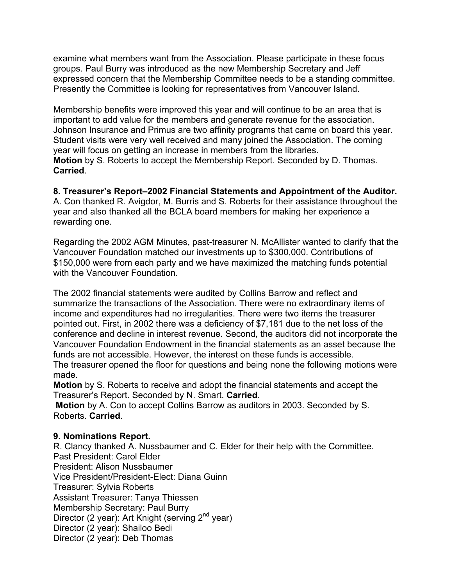examine what members want from the Association. Please participate in these focus groups. Paul Burry was introduced as the new Membership Secretary and Jeff expressed concern that the Membership Committee needs to be a standing committee. Presently the Committee is looking for representatives from Vancouver Island.

Membership benefits were improved this year and will continue to be an area that is important to add value for the members and generate revenue for the association. Johnson Insurance and Primus are two affinity programs that came on board this year. Student visits were very well received and many joined the Association. The coming year will focus on getting an increase in members from the libraries. **Motion** by S. Roberts to accept the Membership Report. Seconded by D. Thomas. **Carried**.

**8. Treasurer's Report–2002 Financial Statements and Appointment of the Auditor.**  A. Con thanked R. Avigdor, M. Burris and S. Roberts for their assistance throughout the year and also thanked all the BCLA board members for making her experience a rewarding one.

Regarding the 2002 AGM Minutes, past-treasurer N. McAllister wanted to clarify that the Vancouver Foundation matched our investments up to \$300,000. Contributions of \$150,000 were from each party and we have maximized the matching funds potential with the Vancouver Foundation.

The 2002 financial statements were audited by Collins Barrow and reflect and summarize the transactions of the Association. There were no extraordinary items of income and expenditures had no irregularities. There were two items the treasurer pointed out. First, in 2002 there was a deficiency of \$7,181 due to the net loss of the conference and decline in interest revenue. Second, the auditors did not incorporate the Vancouver Foundation Endowment in the financial statements as an asset because the funds are not accessible. However, the interest on these funds is accessible.

The treasurer opened the floor for questions and being none the following motions were made.

**Motion** by S. Roberts to receive and adopt the financial statements and accept the Treasurer's Report. Seconded by N. Smart. **Carried**.

**Motion** by A. Con to accept Collins Barrow as auditors in 2003. Seconded by S. Roberts. **Carried**.

#### **9. Nominations Report.**

R. Clancy thanked A. Nussbaumer and C. Elder for their help with the Committee. Past President: Carol Elder President: Alison Nussbaumer Vice President/President-Elect: Diana Guinn Treasurer: Sylvia Roberts Assistant Treasurer: Tanya Thiessen Membership Secretary: Paul Burry Director (2 year): Art Knight (serving 2<sup>nd</sup> year) Director (2 year): Shailoo Bedi Director (2 year): Deb Thomas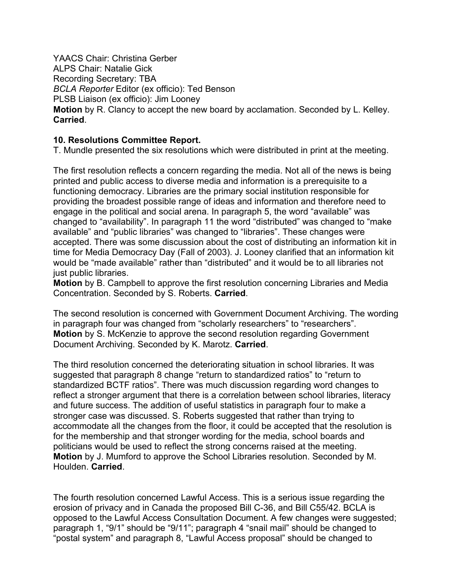YAACS Chair: Christina Gerber ALPS Chair: Natalie Gick Recording Secretary: TBA *BCLA Reporter* Editor (ex officio): Ted Benson PLSB Liaison (ex officio): Jim Looney **Motion** by R. Clancy to accept the new board by acclamation. Seconded by L. Kelley. **Carried**.

#### **10. Resolutions Committee Report.**

T. Mundle presented the six resolutions which were distributed in print at the meeting.

The first resolution reflects a concern regarding the media. Not all of the news is being printed and public access to diverse media and information is a prerequisite to a functioning democracy. Libraries are the primary social institution responsible for providing the broadest possible range of ideas and information and therefore need to engage in the political and social arena. In paragraph 5, the word "available" was changed to "availability". In paragraph 11 the word "distributed" was changed to "make available" and "public libraries" was changed to "libraries". These changes were accepted. There was some discussion about the cost of distributing an information kit in time for Media Democracy Day (Fall of 2003). J. Looney clarified that an information kit would be "made available" rather than "distributed" and it would be to all libraries not just public libraries.

**Motion** by B. Campbell to approve the first resolution concerning Libraries and Media Concentration. Seconded by S. Roberts. **Carried**.

The second resolution is concerned with Government Document Archiving. The wording in paragraph four was changed from "scholarly researchers" to "researchers". **Motion** by S. McKenzie to approve the second resolution regarding Government Document Archiving. Seconded by K. Marotz. **Carried**.

The third resolution concerned the deteriorating situation in school libraries. It was suggested that paragraph 8 change "return to standardized ratios" to "return to standardized BCTF ratios". There was much discussion regarding word changes to reflect a stronger argument that there is a correlation between school libraries, literacy and future success. The addition of useful statistics in paragraph four to make a stronger case was discussed. S. Roberts suggested that rather than trying to accommodate all the changes from the floor, it could be accepted that the resolution is for the membership and that stronger wording for the media, school boards and politicians would be used to reflect the strong concerns raised at the meeting. **Motion** by J. Mumford to approve the School Libraries resolution. Seconded by M. Houlden. **Carried**.

The fourth resolution concerned Lawful Access. This is a serious issue regarding the erosion of privacy and in Canada the proposed Bill C-36, and Bill C55/42. BCLA is opposed to the Lawful Access Consultation Document. A few changes were suggested; paragraph 1, "9/1" should be "9/11"; paragraph 4 "snail mail" should be changed to "postal system" and paragraph 8, "Lawful Access proposal" should be changed to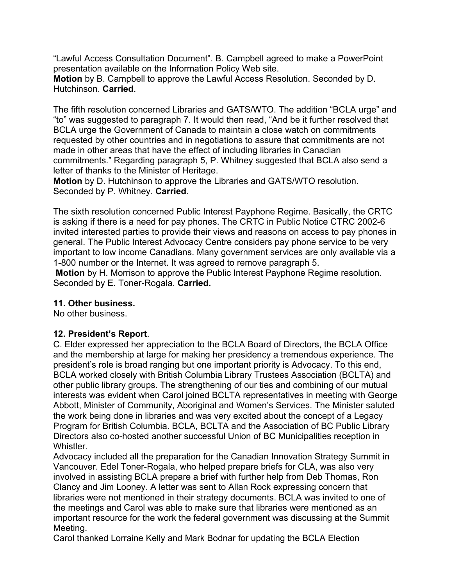"Lawful Access Consultation Document". B. Campbell agreed to make a PowerPoint presentation available on the Information Policy Web site.

**Motion** by B. Campbell to approve the Lawful Access Resolution. Seconded by D. Hutchinson. **Carried**.

The fifth resolution concerned Libraries and GATS/WTO. The addition "BCLA urge" and "to" was suggested to paragraph 7. It would then read, "And be it further resolved that BCLA urge the Government of Canada to maintain a close watch on commitments requested by other countries and in negotiations to assure that commitments are not made in other areas that have the effect of including libraries in Canadian commitments." Regarding paragraph 5, P. Whitney suggested that BCLA also send a letter of thanks to the Minister of Heritage.

**Motion** by D. Hutchinson to approve the Libraries and GATS/WTO resolution. Seconded by P. Whitney. **Carried**.

The sixth resolution concerned Public Interest Payphone Regime. Basically, the CRTC is asking if there is a need for pay phones. The CRTC in Public Notice CTRC 2002-6 invited interested parties to provide their views and reasons on access to pay phones in general. The Public Interest Advocacy Centre considers pay phone service to be very important to low income Canadians. Many government services are only available via a 1-800 number or the Internet. It was agreed to remove paragraph 5.

**Motion** by H. Morrison to approve the Public Interest Payphone Regime resolution. Seconded by E. Toner-Rogala. **Carried.** 

#### **11. Other business.**

No other business.

## **12. President's Report**.

C. Elder expressed her appreciation to the BCLA Board of Directors, the BCLA Office and the membership at large for making her presidency a tremendous experience. The president's role is broad ranging but one important priority is Advocacy. To this end, BCLA worked closely with British Columbia Library Trustees Association (BCLTA) and other public library groups. The strengthening of our ties and combining of our mutual interests was evident when Carol joined BCLTA representatives in meeting with George Abbott, Minister of Community, Aboriginal and Women's Services. The Minister saluted the work being done in libraries and was very excited about the concept of a Legacy Program for British Columbia. BCLA, BCLTA and the Association of BC Public Library Directors also co-hosted another successful Union of BC Municipalities reception in Whistler.

Advocacy included all the preparation for the Canadian Innovation Strategy Summit in Vancouver. Edel Toner-Rogala, who helped prepare briefs for CLA, was also very involved in assisting BCLA prepare a brief with further help from Deb Thomas, Ron Clancy and Jim Looney. A letter was sent to Allan Rock expressing concern that libraries were not mentioned in their strategy documents. BCLA was invited to one of the meetings and Carol was able to make sure that libraries were mentioned as an important resource for the work the federal government was discussing at the Summit Meeting.

Carol thanked Lorraine Kelly and Mark Bodnar for updating the BCLA Election